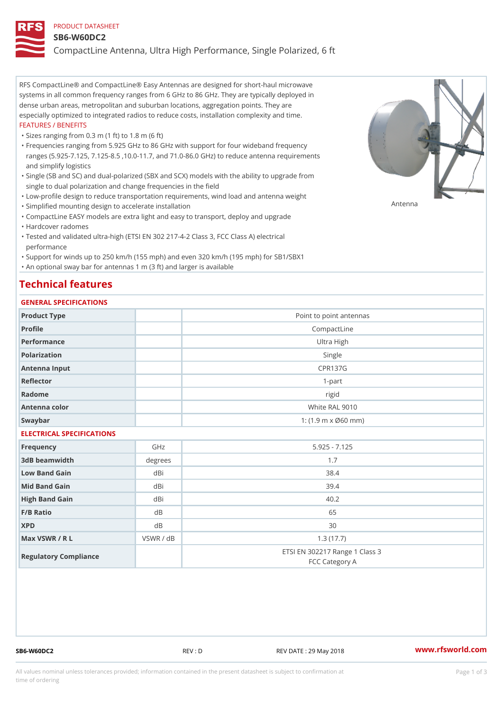#### PRODUCT DATASHEET

#### SB6-W60DC2

CompactLine Antenna, Ultra High Performance, Single Polarized, 6 ft

RFS CompactLine® and CompactLine® Easy Antennas are designed for short-haul microwave systems in all common frequency ranges from 6 GHz to 86 GHz. They are typically deployed in dense urban areas, metropolitan and suburban locations, aggregation points. They are especially optimized to integrated radios to reduce costs, installation complexity and time. FEATURES / BENEFITS

"Sizes ranging from 0.3 m (1 ft) to 1.8 m (6 ft)

- Frequencies ranging from 5.925 GHz to 86 GHz with support for four wideband frequency " ranges (5.925-7.125, 7.125-8.5 ,10.0-11.7, and 71.0-86.0 GHz) to reduce antenna requirements and simplify logistics
- Single (SB and SC) and dual-polarized (SBX and SCX) models with the ability to upgrade from " single to dual polarization and change frequencies in the field
- "Low-profile design to reduce transportation requirements, wind load and antenna weight
- "Simplified mounting design to accelerate installation

 "CompactLine EASY models are extra light and easy to transport, deploy and upgrade "Hardcover radomes

Tested and validated ultra-high (ETSI EN 302 217-4-2 Class 3, FCC Class A) electrical " performance

 "Support for winds up to 250 km/h (155 mph) and even 320 km/h (195 mph) for SB1/SBX1 "An optional sway bar for antennas 1 m (3 ft) and larger is available

### Technical features

### GENERAL SPECIFICATIONS

| 0 L N L N A L O L L O LL I O A L I O N O |           |                                                  |  |  |
|------------------------------------------|-----------|--------------------------------------------------|--|--|
| Product Type                             |           | Point to point antennas                          |  |  |
| Profile                                  |           | CompactLine                                      |  |  |
| Performance                              |           | Ultra High                                       |  |  |
| Polarization                             |           | Single                                           |  |  |
| Antenna Input                            |           | <b>CPR137G</b>                                   |  |  |
| Reflector                                |           | $1 - p$ art                                      |  |  |
| Radome                                   |           | rigid                                            |  |  |
| Antenna color                            |           | White RAL 9010                                   |  |  |
| Swaybar                                  |           | 1: $(1.9 \, m \times 060 \, mm)$                 |  |  |
| ELECTRICAL SPECIFICATIONS                |           |                                                  |  |  |
| Frequency                                | GHz       | $5.925 - 7.125$                                  |  |  |
| 3dB beamwidth                            | degree    | 1.7                                              |  |  |
| Low Band Gain                            | dBi       | 38.4                                             |  |  |
| Mid Band Gain                            | dBi       | 39.4                                             |  |  |
| High Band Gain                           | dBi       | 40.2                                             |  |  |
| $F/B$ Ratio                              | d B       | 65                                               |  |  |
| <b>XPD</b>                               | d B       | 30                                               |  |  |
| Max VSWR / R L                           | VSWR / dB | 1.3(17.7)                                        |  |  |
| Regulatory Compliance                    |           | ETSI EN 302217 Range 1 Class 3<br>FCC Category A |  |  |

SB6-W60DC2 REV : D REV DATE : 29 May 2018 WWW.rfsworld.com

Antenna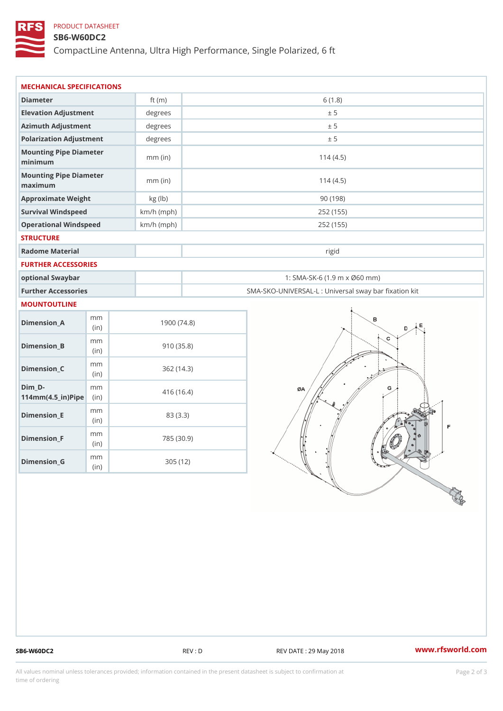## PRODUCT DATASHEET

### SB6-W60DC2

CompactLine Antenna, Ultra High Performance, Single Polarized, 6 ft

| MECHANICAL SPECIFICATIONS                               |                                 |              |                                                   |  |
|---------------------------------------------------------|---------------------------------|--------------|---------------------------------------------------|--|
| Diameter                                                |                                 | ft $(m)$     | 6(1.8)                                            |  |
| Elevation Adjustment                                    |                                 | degrees      | ± 5                                               |  |
| Azimuth Adjustment                                      |                                 | degrees      | ± 5                                               |  |
| Polarization Adjustment                                 |                                 | degrees      | ± 5                                               |  |
| Mounting Pipe Diameter<br>minimum                       |                                 | $mm$ (in)    | 114(4.5)                                          |  |
| Mounting Pipe Diameter<br>maximum                       |                                 | $mm$ (in)    | 114(4.5)                                          |  |
| Approximate Weight                                      |                                 | kg (lb)      | 90(198)                                           |  |
| Survival Windspeed                                      |                                 | $km/h$ (mph) | 252 (155)                                         |  |
| Operational Windspeed                                   |                                 | $km/h$ (mph) | 252 (155)                                         |  |
| <b>STRUCTURE</b>                                        |                                 |              |                                                   |  |
| Radome Material                                         |                                 |              | rigid                                             |  |
| FURTHER ACCESSORIES                                     |                                 |              |                                                   |  |
| optional Swaybar                                        |                                 |              | 1: SMA-SK-6 (1.9 m x Ø60 mm)                      |  |
| Further Accessories                                     |                                 |              | SMA-SKO-UNIVERSAL-L : Universal sway bar fixation |  |
| MOUNTOUTLINE                                            |                                 |              |                                                   |  |
| $Dimension_A$                                           | m m<br>(in)                     |              | 1900(74.8)                                        |  |
| $Dimension_B$                                           | m m<br>(in)                     |              | 910(35.8)                                         |  |
| $Dimension_C$                                           | m m<br>(in)                     |              | 362(14.3)                                         |  |
| $Dim_D - D -$<br>$114$ m m $(4.5$ _ ir $)$ $R$ ii p $e$ | m m                             |              | 416 (16.4)                                        |  |
| $Dimension$ _ $E$                                       | m m<br>(in)                     |              | 83 (3.3)                                          |  |
| $Dimension_F$                                           | m m<br>(in)                     |              | 785 (30.9)                                        |  |
| $D$ imension $_G$                                       | $\mathsf m$ $\mathsf m$<br>(in) |              | 305 (12)                                          |  |

SB6-W60DC2 REV : D REV : D REV DATE : 29 May 2018 WWW.rfsworld.com